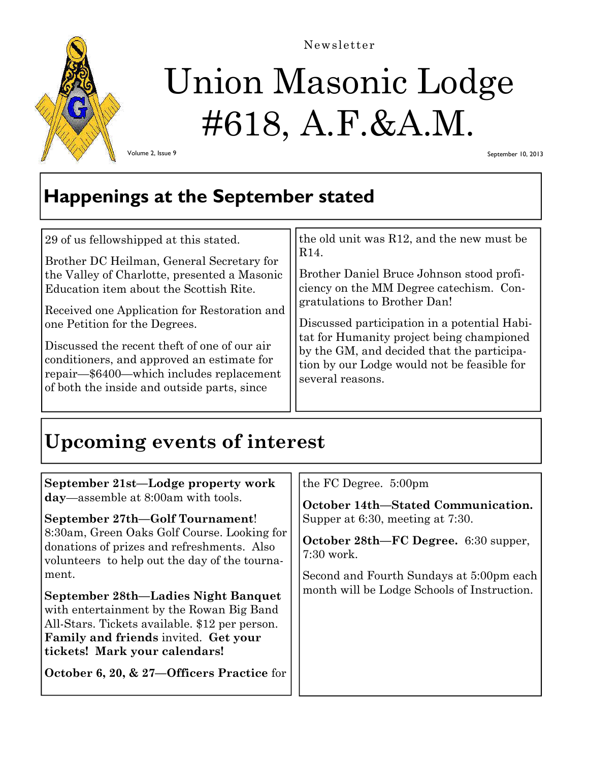

Newsletter

# Union Masonic Lodge #618, A.F.&A.M.

Volume 2, Issue 9

September 10, 2013

### **Happenings at the September stated**

| 29 of us fellowshipped at this stated.       | the old unit was R12, and the new must be    |
|----------------------------------------------|----------------------------------------------|
| Brother DC Heilman, General Secretary for    | R <sub>14</sub> .                            |
| the Valley of Charlotte, presented a Masonic | Brother Daniel Bruce Johnson stood profi-    |
| Education item about the Scottish Rite.      | ciency on the MM Degree catechism. Con-      |
| Received one Application for Restoration and | gratulations to Brother Dan!                 |
| one Petition for the Degrees.                | Discussed participation in a potential Habi- |
| Discussed the recent theft of one of our air | tat for Humanity project being championed    |
| conditioners, and approved an estimate for   | by the GM, and decided that the participa-   |
| repair—\$6400—which includes replacement     | tion by our Lodge would not be feasible for  |
| of both the inside and outside parts, since  | several reasons.                             |

# **Upcoming events of interest**

| September 21st-Lodge property work<br>day—assemble at 8:00am with tools.                                                                                                                                                                                                                                                                                                                                                                                 | the FC Degree. 5:00pm                                                                                                                                                                                                     |
|----------------------------------------------------------------------------------------------------------------------------------------------------------------------------------------------------------------------------------------------------------------------------------------------------------------------------------------------------------------------------------------------------------------------------------------------------------|---------------------------------------------------------------------------------------------------------------------------------------------------------------------------------------------------------------------------|
| September 27th-Golf Tournament!<br>8:30am, Green Oaks Golf Course. Looking for<br>donations of prizes and refreshments. Also<br>volunteers to help out the day of the tourna-<br>ment.<br>September 28th—Ladies Night Banquet<br>with entertainment by the Rowan Big Band<br>All-Stars. Tickets available. \$12 per person.<br><b>Family and friends invited. Get your</b><br>tickets! Mark your calendars!<br>October 6, 20, & 27—Officers Practice for | October 14th-Stated Communication.<br>Supper at 6:30, meeting at 7:30.<br>October 28th—FC Degree. 6:30 supper,<br>$7:30$ work.<br>Second and Fourth Sundays at 5:00pm each<br>month will be Lodge Schools of Instruction. |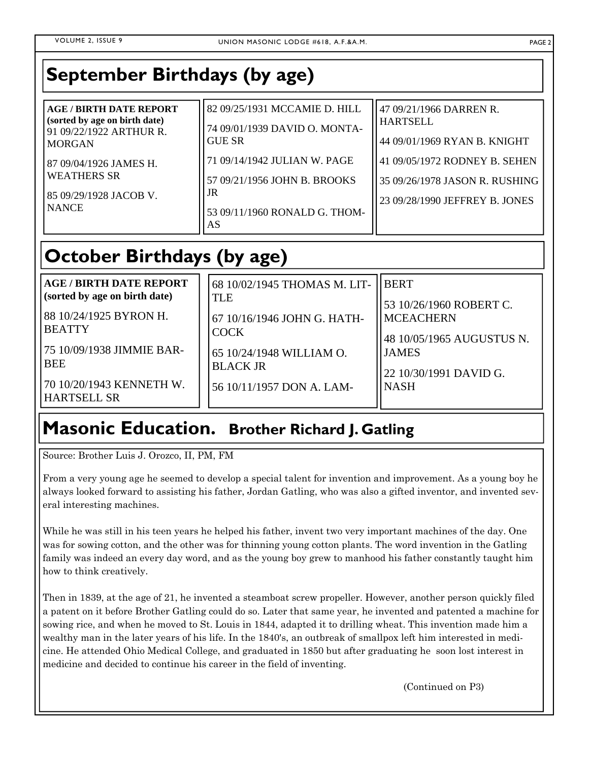## **September Birthdays (by age)**

| <b>AGE / BIRTH DATE REPORT</b><br>(sorted by age on birth date)<br>91 09/22/1922 ARTHUR R.<br><b>MORGAN</b> | 82 09/25/1931 MCCAMIE D. HILL<br>74 09/01/1939 DAVID O. MONTA-<br><b>GUE SR</b>                           | 47 09/21/1966 DARREN R.<br>HARTSELL<br>44 09/01/1969 RYAN B. KNIGHT                               |
|-------------------------------------------------------------------------------------------------------------|-----------------------------------------------------------------------------------------------------------|---------------------------------------------------------------------------------------------------|
| 87 09/04/1926 JAMES H.<br><b>WEATHERS SR</b><br>85 09/29/1928 JACOB V.<br><b>NANCE</b>                      | 71 09/14/1942 JULIAN W. PAGE<br>57 09/21/1956 JOHN B. BROOKS<br>JR<br>53 09/11/1960 RONALD G. THOM-<br>AS | 41 09/05/1972 RODNEY B. SEHEN<br>35 09/26/1978 JASON R. RUSHING<br>23 09/28/1990 JEFFREY B. JONES |

## **October Birthdays (by age)**

| <b>AGE / BIRTH DATE REPORT</b><br>(sorted by age on birth date)<br>188 10/24/1925 BYRON H.<br><b>BEATTY</b><br>175 10/09/1938 JIMMIE BAR-<br><b>BEE</b><br>70 10/20/1943 KENNETH W.<br><b>HARTSELL SR</b> | 68 10/02/1945 THOMAS M. LIT-<br><b>TLE</b><br>67 10/16/1946 JOHN G. HATH-<br><b>COCK</b><br>65 10/24/1948 WILLIAM O.<br><b>BLACK JR</b><br>56 10/11/1957 DON A. LAM- | <b>IIBERT</b><br>53 10/26/1960 ROBERT C.<br><b>MCEACHERN</b><br>48 10/05/1965 AUGUSTUS N.<br><b>JAMES</b><br>22 10/30/1991 DAVID G.<br>INASH |
|-----------------------------------------------------------------------------------------------------------------------------------------------------------------------------------------------------------|----------------------------------------------------------------------------------------------------------------------------------------------------------------------|----------------------------------------------------------------------------------------------------------------------------------------------|
|-----------------------------------------------------------------------------------------------------------------------------------------------------------------------------------------------------------|----------------------------------------------------------------------------------------------------------------------------------------------------------------------|----------------------------------------------------------------------------------------------------------------------------------------------|

#### **Masonic Education. Brother Richard J. Gatling**

Source: Brother Luis J. Orozco, II, PM, FM

From a very young age he seemed to develop a special talent for invention and improvement. As a young boy he always looked forward to assisting his father, Jordan Gatling, who was also a gifted inventor, and invented several interesting machines.

While he was still in his teen years he helped his father, invent two very important machines of the day. One was for sowing cotton, and the other was for thinning young cotton plants. The word invention in the Gatling family was indeed an every day word, and as the young boy grew to manhood his father constantly taught him how to think creatively.

Then in 1839, at the age of 21, he invented a steamboat screw propeller. However, another person quickly filed a patent on it before Brother Gatling could do so. Later that same year, he invented and patented a machine for sowing rice, and when he moved to St. Louis in 1844, adapted it to drilling wheat. This invention made him a wealthy man in the later years of his life. In the 1840's, an outbreak of smallpox left him interested in medicine. He attended Ohio Medical College, and graduated in 1850 but after graduating he soon lost interest in medicine and decided to continue his career in the field of inventing.

(Continued on P3)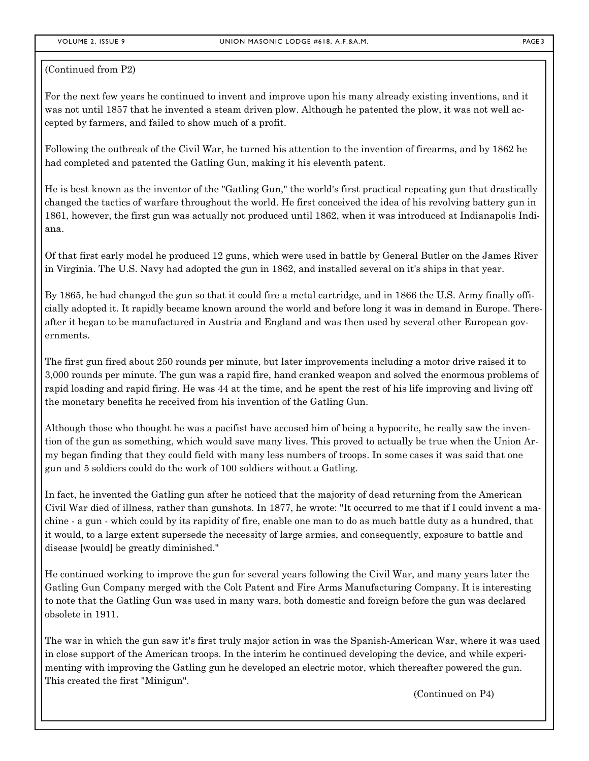(Continued from P2)

For the next few years he continued to invent and improve upon his many already existing inventions, and it was not until 1857 that he invented a steam driven plow. Although he patented the plow, it was not well accepted by farmers, and failed to show much of a profit.

Following the outbreak of the Civil War, he turned his attention to the invention of firearms, and by 1862 he had completed and patented the Gatling Gun, making it his eleventh patent.

He is best known as the inventor of the "Gatling Gun," the world's first practical repeating gun that drastically changed the tactics of warfare throughout the world. He first conceived the idea of his revolving battery gun in 1861, however, the first gun was actually not produced until 1862, when it was introduced at Indianapolis Indiana.

Of that first early model he produced 12 guns, which were used in battle by General Butler on the James River in Virginia. The U.S. Navy had adopted the gun in 1862, and installed several on it's ships in that year.

By 1865, he had changed the gun so that it could fire a metal cartridge, and in 1866 the U.S. Army finally officially adopted it. It rapidly became known around the world and before long it was in demand in Europe. Thereafter it began to be manufactured in Austria and England and was then used by several other European governments.

The first gun fired about 250 rounds per minute, but later improvements including a motor drive raised it to 3,000 rounds per minute. The gun was a rapid fire, hand cranked weapon and solved the enormous problems of rapid loading and rapid firing. He was 44 at the time, and he spent the rest of his life improving and living off the monetary benefits he received from his invention of the Gatling Gun.

Although those who thought he was a pacifist have accused him of being a hypocrite, he really saw the invention of the gun as something, which would save many lives. This proved to actually be true when the Union Army began finding that they could field with many less numbers of troops. In some cases it was said that one gun and 5 soldiers could do the work of 100 soldiers without a Gatling.

In fact, he invented the Gatling gun after he noticed that the majority of dead returning from the American Civil War died of illness, rather than gunshots. In 1877, he wrote: "It occurred to me that if I could invent a machine - a gun - which could by its rapidity of fire, enable one man to do as much battle duty as a hundred, that it would, to a large extent supersede the necessity of large armies, and consequently, exposure to battle and disease [would] be greatly diminished."

He continued working to improve the gun for several years following the Civil War, and many years later the Gatling Gun Company merged with the Colt Patent and Fire Arms Manufacturing Company. It is interesting to note that the Gatling Gun was used in many wars, both domestic and foreign before the gun was declared obsolete in 1911.

The war in which the gun saw it's first truly major action in was the Spanish-American War, where it was used in close support of the American troops. In the interim he continued developing the device, and while experimenting with improving the Gatling gun he developed an electric motor, which thereafter powered the gun. This created the first "Minigun".

(Continued on P4)